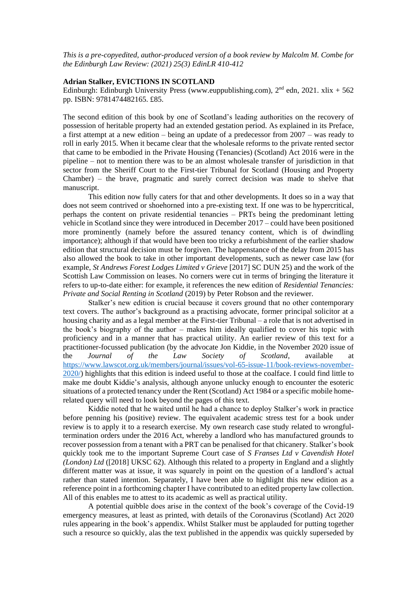*This is a pre-copyedited, author-produced version of a book review by Malcolm M. Combe for the Edinburgh Law Review: (2021) 25(3) EdinLR 410-412*

## **Adrian Stalker, EVICTIONS IN SCOTLAND**

Edinburgh: Edinburgh University Press (www.euppublishing.com),  $2<sup>nd</sup>$  edn, 2021. xlix + 562 pp. ISBN: 9781474482165. £85.

The second edition of this book by one of Scotland's leading authorities on the recovery of possession of heritable property had an extended gestation period. As explained in its Preface, a first attempt at a new edition – being an update of a predecessor from 2007 – was ready to roll in early 2015. When it became clear that the wholesale reforms to the private rented sector that came to be embodied in the Private Housing (Tenancies) (Scotland) Act 2016 were in the pipeline – not to mention there was to be an almost wholesale transfer of jurisdiction in that sector from the Sheriff Court to the First-tier Tribunal for Scotland (Housing and Property Chamber) – the brave, pragmatic and surely correct decision was made to shelve that manuscript.

This edition now fully caters for that and other developments. It does so in a way that does not seem contrived or shoehorned into a pre-existing text. If one was to be hypercritical, perhaps the content on private residential tenancies – PRTs being the predominant letting vehicle in Scotland since they were introduced in December 2017 – could have been positioned more prominently (namely before the assured tenancy content, which is of dwindling importance); although if that would have been too tricky a refurbishment of the earlier shadow edition that structural decision must be forgiven. The happenstance of the delay from 2015 has also allowed the book to take in other important developments, such as newer case law (for example, *St Andrews Forest Lodges Limited v Grieve* [2017] SC DUN 25) and the work of the Scottish Law Commission on leases. No corners were cut in terms of bringing the literature it refers to up-to-date either: for example, it references the new edition of *Residential Tenancies: Private and Social Renting in Scotland* (2019) by Peter Robson and the reviewer.

Stalker's new edition is crucial because it covers ground that no other contemporary text covers. The author's background as a practising advocate, former principal solicitor at a housing charity and as a legal member at the First-tier Tribunal – a role that is not advertised in the book's biography of the author – makes him ideally qualified to cover his topic with proficiency and in a manner that has practical utility. An earlier review of this text for a practitioner-focussed publication (by the advocate Jon Kiddie, in the November 2020 issue of the *Journal of the Law Society of Scotland*, available at [https://www.lawscot.org.uk/members/journal/issues/vol-65-issue-11/book-reviews-november-](https://www.lawscot.org.uk/members/journal/issues/vol-65-issue-11/book-reviews-november-2020/)[2020/\)](https://www.lawscot.org.uk/members/journal/issues/vol-65-issue-11/book-reviews-november-2020/) highlights that this edition is indeed useful to those at the coalface. I could find little to make me doubt Kiddie's analysis, although anyone unlucky enough to encounter the esoteric situations of a protected tenancy under the Rent (Scotland) Act 1984 or a specific mobile homerelated query will need to look beyond the pages of this text.

Kiddie noted that he waited until he had a chance to deploy Stalker's work in practice before penning his (positive) review. The equivalent academic stress test for a book under review is to apply it to a research exercise. My own research case study related to wrongfultermination orders under the 2016 Act, whereby a landlord who has manufactured grounds to recover possession from a tenant with a PRT can be penalised for that chicanery. Stalker's book quickly took me to the important Supreme Court case of *S Franses Ltd v Cavendish Hotel (London) Ltd* ([2018] UKSC 62). Although this related to a property in England and a slightly different matter was at issue, it was squarely in point on the question of a landlord's actual rather than stated intention. Separately, I have been able to highlight this new edition as a reference point in a forthcoming chapter I have contributed to an edited property law collection. All of this enables me to attest to its academic as well as practical utility.

A potential quibble does arise in the context of the book's coverage of the Covid-19 emergency measures, at least as printed, with details of the Coronavirus (Scotland) Act 2020 rules appearing in the book's appendix. Whilst Stalker must be applauded for putting together such a resource so quickly, alas the text published in the appendix was quickly superseded by